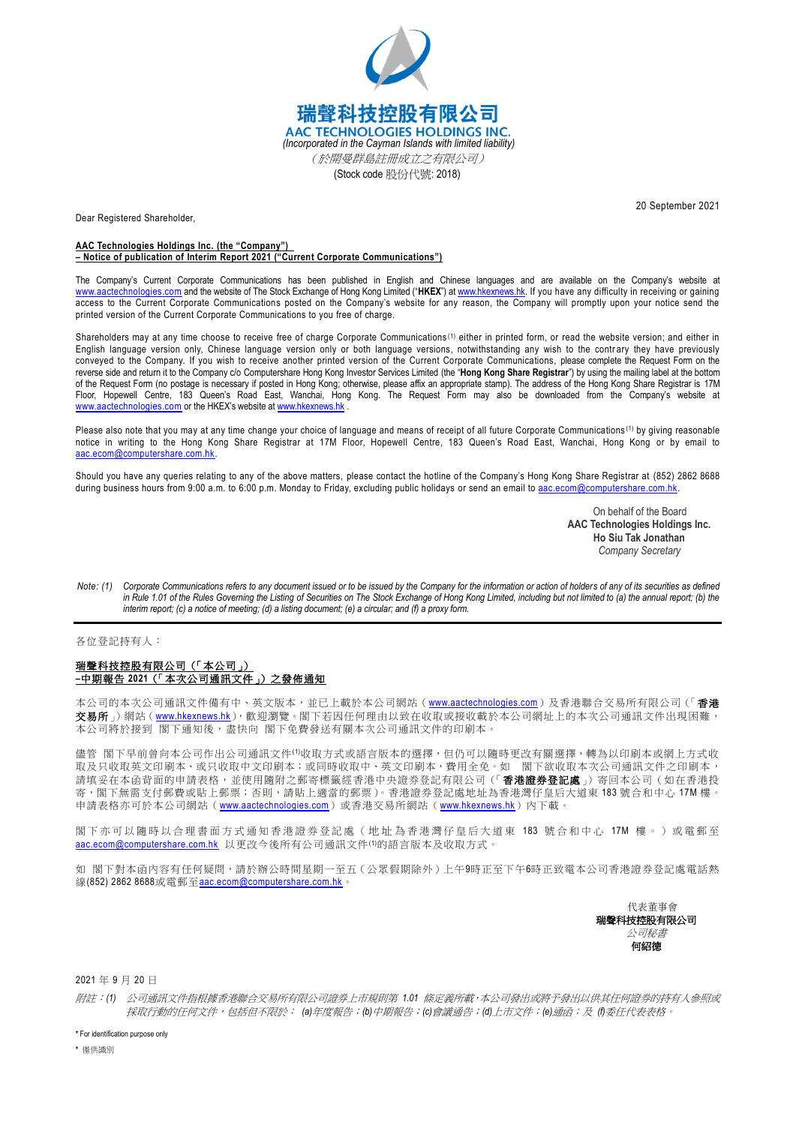

Dear Registered Shareholder,

20 September 2021

## **AAC Technologies Holdings Inc. (the "Company") – Notice of publication of Interim Report 2021 ("Current Corporate Communications")**

The Company's Current Corporate Communications has been published in English and Chinese languages and are available on the Company's website at [www.aactechnologies.com](http://www.aactechnologies.com/) and the website of The Stock Exchange of Hong Kong Limited ("**HKEX**") at [www.hkexnews.hk.](http://www.hkexnews.hk/) If you have any difficulty in receiving or gaining access to the Current Corporate Communications posted on the Company's website for any reason, the Company will promptly upon your notice send the printed version of the Current Corporate Communications to you free of charge.

Shareholders may at any time choose to receive free of charge Corporate Communications<sup>(1)</sup> either in printed form, or read the website version; and either in English language version only, Chinese language version only or both language versions, notwithstanding any wish to the contrary they have previously conveyed to the Company. If you wish to receive another printed version of the Current Corporate Communications, please complete the Request Form on the reverse side and return it to the Company c/o Computershare Hong Kong Investor Services Limited (the "**Hong Kong Share Registrar**") by using the mailing label at the bottom of the Request Form (no postage is necessary if posted in Hong Kong; otherwise, please affix an appropriate stamp). The address of the Hong Kong Share Registrar is 17M Floor, Hopewell Centre, 183 Queen's Road East, Wanchai, Hong Kong. The Request Form may also be downloaded from the Company's website at [www.aactechnologies.com](http://www.aactechnologies.com/) or the HKEX's website at [www.hkexnews.hk](http://www.hkexnews.hk/)

Please also note that you may at any time change your choice of language and means of receipt of all future Corporate Communications<sup>(1)</sup> by giving reasonable notice in writing to the Hong Kong Share Registrar at 17M Floor, Hopewell Centre, 183 Queen's Road East, Wanchai, Hong Kong or by email to [aac.ecom@computershare.com.hk.](mailto:aac.ecom@computershare.com.hk)

Should you have any queries relating to any of the above matters, please contact the hotline of the Company's Hong Kong Share Registrar at (852) 2862 8688 during business hours from 9:00 a.m. to 6:00 p.m. Monday to Friday, excluding public holidays or send an email t[o aac.ecom@computershare.com.hk.](mailto:aac.ecom@computershare.com.hk)

> On behalf of the Board **AAC Technologies Holdings Inc. Ho Siu Tak Jonathan** *Company Secretary*

*Note: (1) Corporate Communications refers to any document issued or to be issued by the Company for the information or action of holders of any of its securities as defined in Rule 1.01 of the Rules Governing the Listing of Securities on The Stock Exchange of Hong Kong Limited, including but not limited to (a) the annual report; (b) the interim report; (c) a notice of meeting; (d) a listing document; (e) a circular; and (f) a proxy form.*

各位登記持有人:

## 瑞聲科技控股有限公司(「本公司」) **–**中期報告 **2021**(「本次公司通訊文件」)之發佈通知

本公司的本次公司通訊文件備有中、英文版本,並已上載於本公司網站 ([www.aactechnologies.com](http://www.aactechnologies.com/))及香港聯合交易所有限公司 (「香港 交易所」網站([www.hkexnews.hk](https://www.hkexnews.hk/index_c.htm)),歡迎瀏覽。閣下若因任何理由以致在收取或接收載於本公司網址上的本次公司通訊文件出現困難。 本公司將於接到 閣下通知後,盡快向 閣下免費發送有關本次公司通訊文件的印刷本。

儘管 閣下早前曾向本公司作出公司通訊文件(1)收取方式或語言版本的選擇,但仍可以隨時更改有關選擇,轉為以印刷本或網上方式收 取及只收取英文印刷本、或只收取中文印刷砖收取中、英文印刷本,費用全免。如 閣下欲收取本次公司通訊文件之印刷本, 請填妥在本函背面的申請表格,並使用隨附之郵寄標籤經香港中央證券登記有限公司(「香港證券登記處」)寄回本公司(如在香港投 寄,閣下無需支付郵費或貼上郵票;否則,請貼上適當的郵票)。香港證券登記處地址為香港灣仔皇后大道東 183號合和中心 17M 樓 申請表格亦可於本公司網站([www.aactechnologies.com](http://www.aactechnologies.com/))或香港交易所網站([www.hkexnews.hk](https://www.hkexnews.hk/index_c.htm))內下載。

閣下亦可以隨時以合理書面方式通 知香港證券登記處 ( 地址為 香港灣仔皇后大道東 183 號合和中心 17M 樓 。 ) 或電郵至 [aac.ecom@computershare.com.hk](mailto:aac.ecom@computershare.com.hk) 以更改今後所有公司通訊文件(1)的語言版本及收取方式。

如 閣下對本函內容有任何疑問,請於辦公時間星期一至五(公眾假期除外)上午9時正至下午6時正致電本公司香港證券登記處電話熱 線(852) 2862 8688或電郵至[aac.ecom@computershare.com.hk](mailto:aac.ecom@computershare.com.hk)。

> 代表董事會 瑞聲科技控股有限公司 公司秘書 何紹德

2021 年 9 月 20 日

附註:*(1)* 公司通訊文件指根據香港聯合交易所有限公司證券上市規則第 *1.01* 條定義所載,本公司發出或將予發出以供其任何證券的持有人參照或 採取行動的任何文件,包括但不限於: *(a)*年度報告;*(b)*中期報告;*(c)*會議通告;*(d)*上市文件;*(e)*通函;及 *(f)*委任代表表格。

**\*** For identification purpose only

**\*** 僅供識別